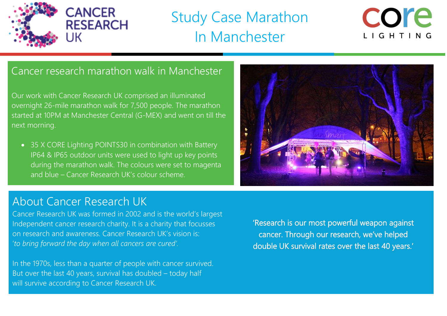

## Study Case Marathon In Manchester



## Cancer research marathon walk in Manchester

Our work with Cancer Research UK comprised an illuminated overnight 26-mile marathon walk for 7,500 people. The marathon started at 10PM at Manchester Central (G-MEX) and went on till the next morning.

• 35 X CORE Lighting POINTS30 in combination with Battery IP64 & IP65 outdoor units were used to light up key points during the marathon walk. The colours were set to magenta and blue – Cancer Research UK's colour scheme.



### About Cancer Research UK

Cancer Research UK was formed in 2002 and is the world's largest Independent cancer research charity. It is a charity that focusses on research and awareness. Cancer Research UK's vision is: '*to bring forward the day when all cancers are cured'.*

In the 1970s, less than a quarter of people with cancer survived. But over the last 40 years, survival has doubled – today half will survive according to Cancer Research UK.

'Research is our most powerful weapon against cancer. Through our research, we've helped double UK survival rates over the last 40 years.'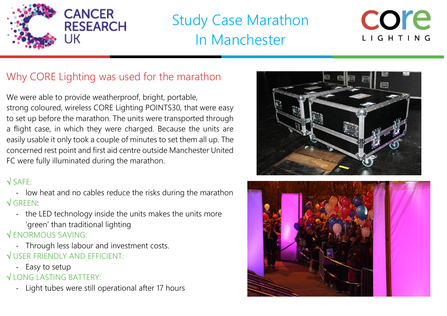

# Study Case Marathon In Manchester



## Why CORE Lighting was used for the marathon

We were able to provide weatherproof, bright, portable, strong coloured, wireless CORE Lighting POINTS30, that were easy to set up before the marathon. The units were transported through a flight case, in which they were charged. Because the units are easily usable it only took a couple of minutes to set them all up. The concerned rest point and first aid centre outside Manchester United FC were fully illuminated during the marathon.

#### $\sqrt{SAFF}$ :

- low heat and no cables reduce the risks during the marathon  $\sqrt{G}$ REEN:
	- the LED technology inside the units makes the units more 'green' than traditional lighting

#### $\sqrt{ENORMOUS SAVING}$ :

- Through less labour and investment costs. USER FRIENDLY AND EFFICIENT:
	- Easy to setup
- LONG LASTING BATTERY:
	- Light tubes were still operational after 17 hours